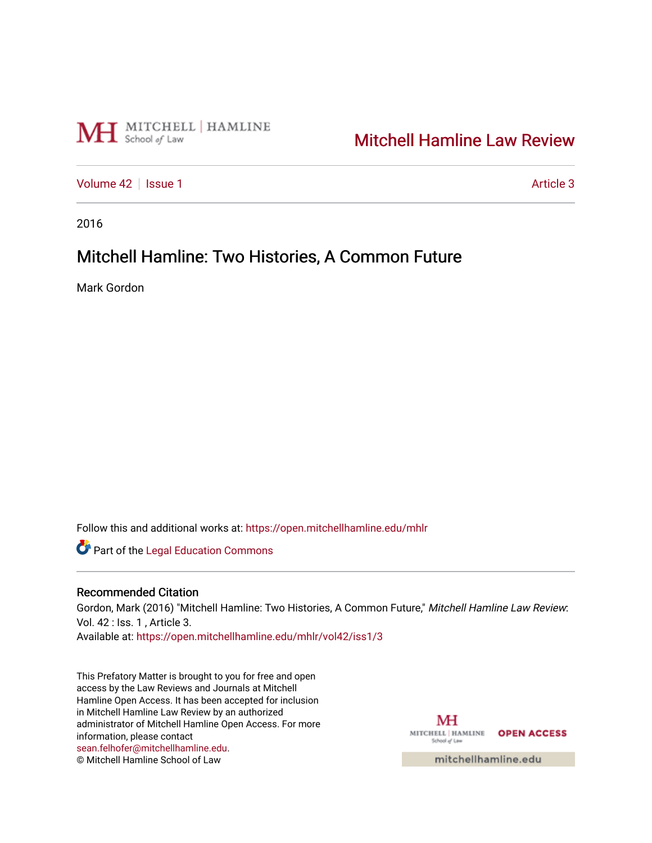

# [Mitchell Hamline Law Review](https://open.mitchellhamline.edu/mhlr)

[Volume 42](https://open.mitchellhamline.edu/mhlr/vol42) | [Issue 1](https://open.mitchellhamline.edu/mhlr/vol42/iss1) Article 3

2016

## Mitchell Hamline: Two Histories, A Common Future

Mark Gordon

Follow this and additional works at: [https://open.mitchellhamline.edu/mhlr](https://open.mitchellhamline.edu/mhlr?utm_source=open.mitchellhamline.edu%2Fmhlr%2Fvol42%2Fiss1%2F3&utm_medium=PDF&utm_campaign=PDFCoverPages) 

**Part of the Legal Education Commons** 

#### Recommended Citation

Gordon, Mark (2016) "Mitchell Hamline: Two Histories, A Common Future," Mitchell Hamline Law Review: Vol. 42 : Iss. 1 , Article 3.

Available at: [https://open.mitchellhamline.edu/mhlr/vol42/iss1/3](https://open.mitchellhamline.edu/mhlr/vol42/iss1/3?utm_source=open.mitchellhamline.edu%2Fmhlr%2Fvol42%2Fiss1%2F3&utm_medium=PDF&utm_campaign=PDFCoverPages) 

This Prefatory Matter is brought to you for free and open access by the Law Reviews and Journals at Mitchell Hamline Open Access. It has been accepted for inclusion in Mitchell Hamline Law Review by an authorized administrator of Mitchell Hamline Open Access. For more information, please contact [sean.felhofer@mitchellhamline.edu](mailto:sean.felhofer@mitchellhamline.edu). © Mitchell Hamline School of Law

MH MITCHELL | HAMLINE OPEN ACCESS School of Law

mitchellhamline.edu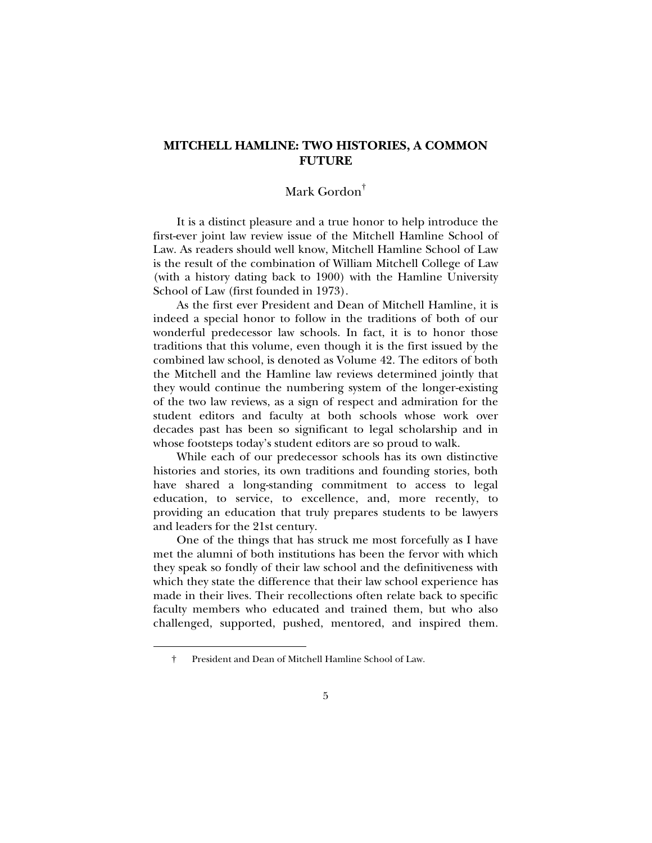#### **MITCHELL HAMLINE: TWO HISTORIES, A COMMON FUTURE**

### Mark Gordon†

It is a distinct pleasure and a true honor to help introduce the first-ever joint law review issue of the Mitchell Hamline School of Law. As readers should well know, Mitchell Hamline School of Law is the result of the combination of William Mitchell College of Law (with a history dating back to 1900) with the Hamline University School of Law (first founded in 1973).

As the first ever President and Dean of Mitchell Hamline, it is indeed a special honor to follow in the traditions of both of our wonderful predecessor law schools. In fact, it is to honor those traditions that this volume, even though it is the first issued by the combined law school, is denoted as Volume 42. The editors of both the Mitchell and the Hamline law reviews determined jointly that they would continue the numbering system of the longer-existing of the two law reviews, as a sign of respect and admiration for the student editors and faculty at both schools whose work over decades past has been so significant to legal scholarship and in whose footsteps today's student editors are so proud to walk.

While each of our predecessor schools has its own distinctive histories and stories, its own traditions and founding stories, both have shared a long-standing commitment to access to legal education, to service, to excellence, and, more recently, to providing an education that truly prepares students to be lawyers and leaders for the 21st century.

One of the things that has struck me most forcefully as I have met the alumni of both institutions has been the fervor with which they speak so fondly of their law school and the definitiveness with which they state the difference that their law school experience has made in their lives. Their recollections often relate back to specific faculty members who educated and trained them, but who also challenged, supported, pushed, mentored, and inspired them.

j

 <sup>†</sup> President and Dean of Mitchell Hamline School of Law.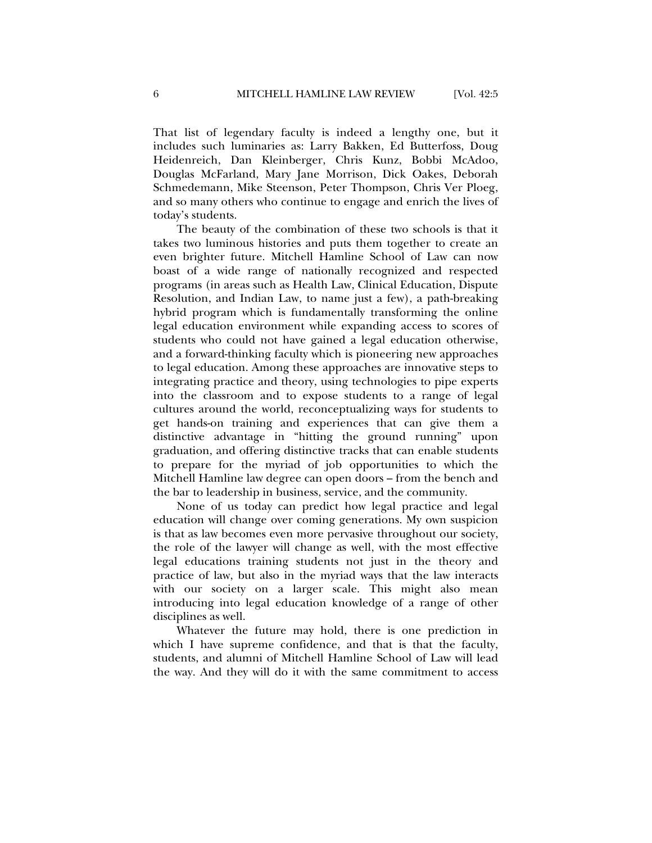That list of legendary faculty is indeed a lengthy one, but it includes such luminaries as: Larry Bakken, Ed Butterfoss, Doug Heidenreich, Dan Kleinberger, Chris Kunz, Bobbi McAdoo, Douglas McFarland, Mary Jane Morrison, Dick Oakes, Deborah Schmedemann, Mike Steenson, Peter Thompson, Chris Ver Ploeg, and so many others who continue to engage and enrich the lives of today's students.

The beauty of the combination of these two schools is that it takes two luminous histories and puts them together to create an even brighter future. Mitchell Hamline School of Law can now boast of a wide range of nationally recognized and respected programs (in areas such as Health Law, Clinical Education, Dispute Resolution, and Indian Law, to name just a few), a path-breaking hybrid program which is fundamentally transforming the online legal education environment while expanding access to scores of students who could not have gained a legal education otherwise, and a forward-thinking faculty which is pioneering new approaches to legal education. Among these approaches are innovative steps to integrating practice and theory, using technologies to pipe experts into the classroom and to expose students to a range of legal cultures around the world, reconceptualizing ways for students to get hands-on training and experiences that can give them a distinctive advantage in "hitting the ground running" upon graduation, and offering distinctive tracks that can enable students to prepare for the myriad of job opportunities to which the Mitchell Hamline law degree can open doors – from the bench and the bar to leadership in business, service, and the community.

None of us today can predict how legal practice and legal education will change over coming generations. My own suspicion is that as law becomes even more pervasive throughout our society, the role of the lawyer will change as well, with the most effective legal educations training students not just in the theory and practice of law, but also in the myriad ways that the law interacts with our society on a larger scale. This might also mean introducing into legal education knowledge of a range of other disciplines as well.

Whatever the future may hold, there is one prediction in which I have supreme confidence, and that is that the faculty, students, and alumni of Mitchell Hamline School of Law will lead the way. And they will do it with the same commitment to access